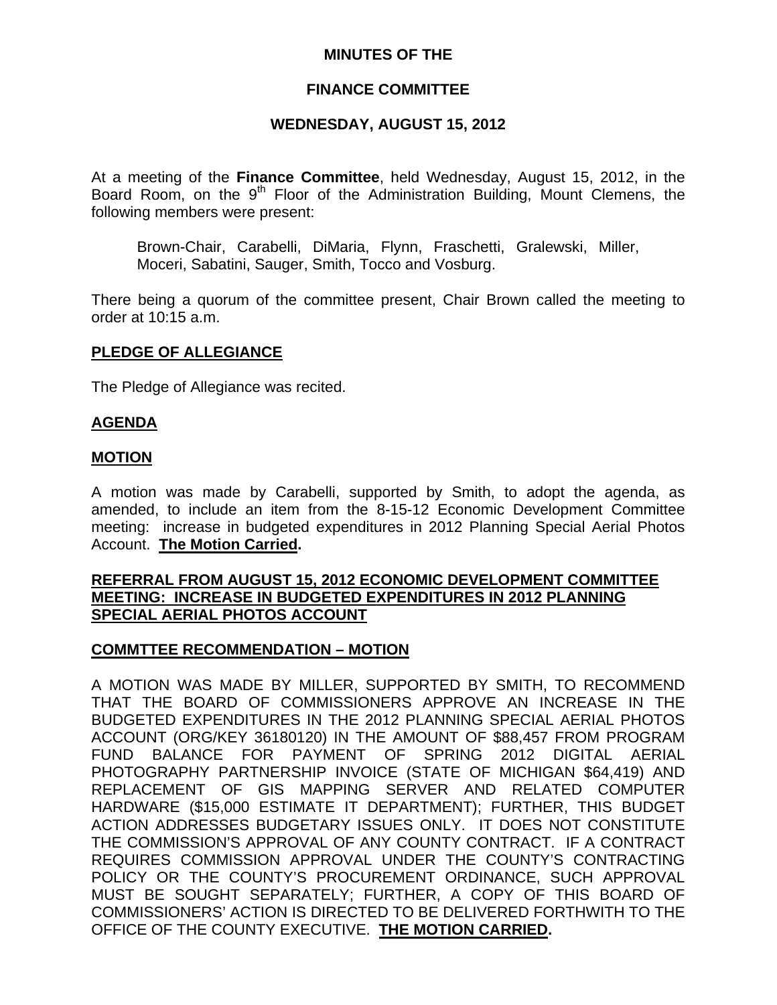### **MINUTES OF THE**

## **FINANCE COMMITTEE**

### **WEDNESDAY, AUGUST 15, 2012**

At a meeting of the **Finance Committee**, held Wednesday, August 15, 2012, in the Board Room, on the 9<sup>th</sup> Floor of the Administration Building, Mount Clemens, the following members were present:

Brown-Chair, Carabelli, DiMaria, Flynn, Fraschetti, Gralewski, Miller, Moceri, Sabatini, Sauger, Smith, Tocco and Vosburg.

There being a quorum of the committee present, Chair Brown called the meeting to order at 10:15 a.m.

#### **PLEDGE OF ALLEGIANCE**

The Pledge of Allegiance was recited.

#### **AGENDA**

#### **MOTION**

A motion was made by Carabelli, supported by Smith, to adopt the agenda, as amended, to include an item from the 8-15-12 Economic Development Committee meeting: increase in budgeted expenditures in 2012 Planning Special Aerial Photos Account. **The Motion Carried.** 

#### **REFERRAL FROM AUGUST 15, 2012 ECONOMIC DEVELOPMENT COMMITTEE MEETING: INCREASE IN BUDGETED EXPENDITURES IN 2012 PLANNING SPECIAL AERIAL PHOTOS ACCOUNT**

#### **COMMTTEE RECOMMENDATION – MOTION**

A MOTION WAS MADE BY MILLER, SUPPORTED BY SMITH, TO RECOMMEND THAT THE BOARD OF COMMISSIONERS APPROVE AN INCREASE IN THE BUDGETED EXPENDITURES IN THE 2012 PLANNING SPECIAL AERIAL PHOTOS ACCOUNT (ORG/KEY 36180120) IN THE AMOUNT OF \$88,457 FROM PROGRAM FUND BALANCE FOR PAYMENT OF SPRING 2012 DIGITAL AERIAL PHOTOGRAPHY PARTNERSHIP INVOICE (STATE OF MICHIGAN \$64,419) AND REPLACEMENT OF GIS MAPPING SERVER AND RELATED COMPUTER HARDWARE (\$15,000 ESTIMATE IT DEPARTMENT); FURTHER, THIS BUDGET ACTION ADDRESSES BUDGETARY ISSUES ONLY. IT DOES NOT CONSTITUTE THE COMMISSION'S APPROVAL OF ANY COUNTY CONTRACT. IF A CONTRACT REQUIRES COMMISSION APPROVAL UNDER THE COUNTY'S CONTRACTING POLICY OR THE COUNTY'S PROCUREMENT ORDINANCE, SUCH APPROVAL MUST BE SOUGHT SEPARATELY; FURTHER, A COPY OF THIS BOARD OF COMMISSIONERS' ACTION IS DIRECTED TO BE DELIVERED FORTHWITH TO THE OFFICE OF THE COUNTY EXECUTIVE. **THE MOTION CARRIED.**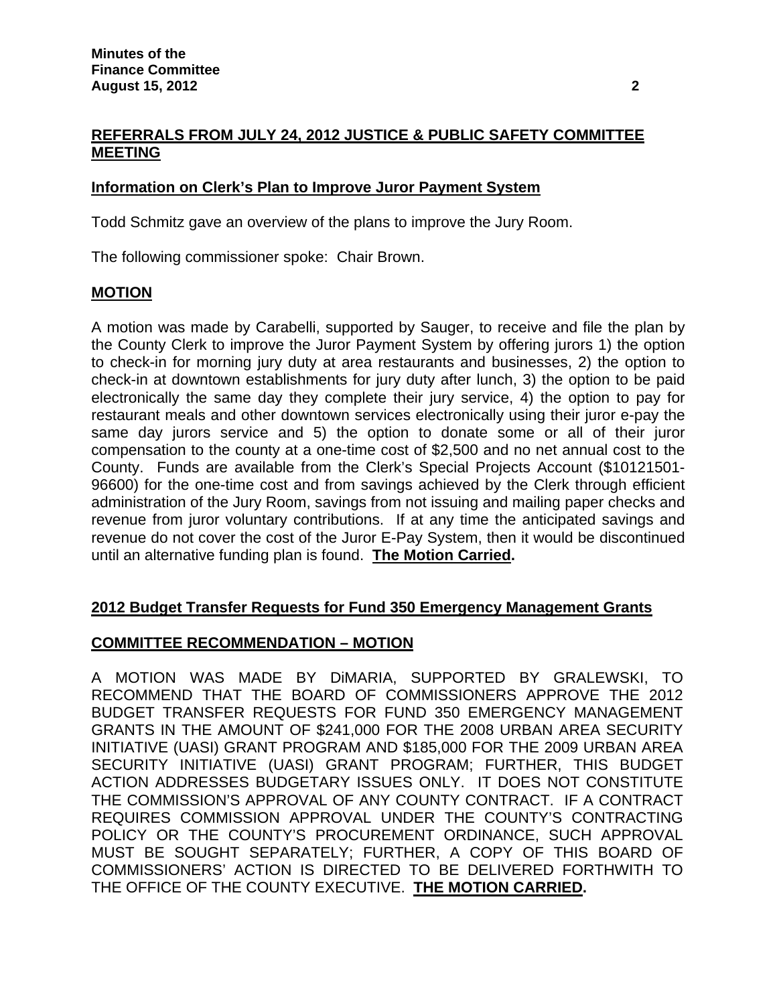# **REFERRALS FROM JULY 24, 2012 JUSTICE & PUBLIC SAFETY COMMITTEE MEETING**

## **Information on Clerk's Plan to Improve Juror Payment System**

Todd Schmitz gave an overview of the plans to improve the Jury Room.

The following commissioner spoke: Chair Brown.

## **MOTION**

A motion was made by Carabelli, supported by Sauger, to receive and file the plan by the County Clerk to improve the Juror Payment System by offering jurors 1) the option to check-in for morning jury duty at area restaurants and businesses, 2) the option to check-in at downtown establishments for jury duty after lunch, 3) the option to be paid electronically the same day they complete their jury service, 4) the option to pay for restaurant meals and other downtown services electronically using their juror e-pay the same day jurors service and 5) the option to donate some or all of their juror compensation to the county at a one-time cost of \$2,500 and no net annual cost to the County. Funds are available from the Clerk's Special Projects Account (\$10121501- 96600) for the one-time cost and from savings achieved by the Clerk through efficient administration of the Jury Room, savings from not issuing and mailing paper checks and revenue from juror voluntary contributions. If at any time the anticipated savings and revenue do not cover the cost of the Juror E-Pay System, then it would be discontinued until an alternative funding plan is found. **The Motion Carried.**

## **2012 Budget Transfer Requests for Fund 350 Emergency Management Grants**

## **COMMITTEE RECOMMENDATION – MOTION**

A MOTION WAS MADE BY DiMARIA, SUPPORTED BY GRALEWSKI, TO RECOMMEND THAT THE BOARD OF COMMISSIONERS APPROVE THE 2012 BUDGET TRANSFER REQUESTS FOR FUND 350 EMERGENCY MANAGEMENT GRANTS IN THE AMOUNT OF \$241,000 FOR THE 2008 URBAN AREA SECURITY INITIATIVE (UASI) GRANT PROGRAM AND \$185,000 FOR THE 2009 URBAN AREA SECURITY INITIATIVE (UASI) GRANT PROGRAM; FURTHER, THIS BUDGET ACTION ADDRESSES BUDGETARY ISSUES ONLY. IT DOES NOT CONSTITUTE THE COMMISSION'S APPROVAL OF ANY COUNTY CONTRACT. IF A CONTRACT REQUIRES COMMISSION APPROVAL UNDER THE COUNTY'S CONTRACTING POLICY OR THE COUNTY'S PROCUREMENT ORDINANCE, SUCH APPROVAL MUST BE SOUGHT SEPARATELY; FURTHER, A COPY OF THIS BOARD OF COMMISSIONERS' ACTION IS DIRECTED TO BE DELIVERED FORTHWITH TO THE OFFICE OF THE COUNTY EXECUTIVE. **THE MOTION CARRIED.**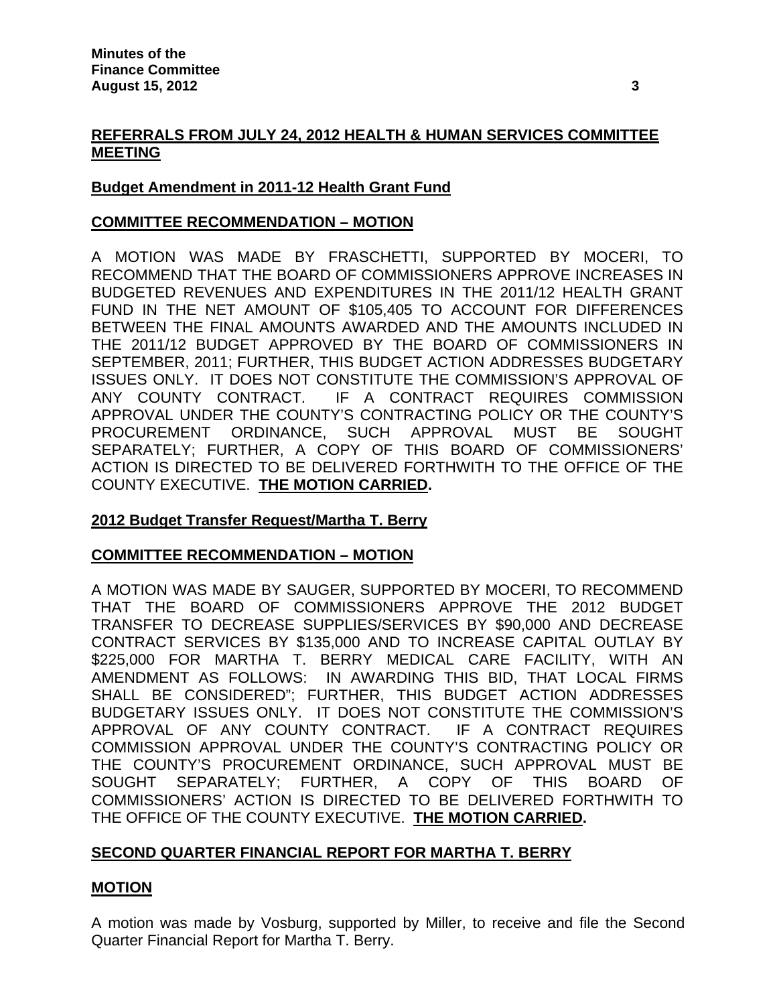# **REFERRALS FROM JULY 24, 2012 HEALTH & HUMAN SERVICES COMMITTEE MEETING**

# **Budget Amendment in 2011-12 Health Grant Fund**

#### **COMMITTEE RECOMMENDATION – MOTION**

A MOTION WAS MADE BY FRASCHETTI, SUPPORTED BY MOCERI, TO RECOMMEND THAT THE BOARD OF COMMISSIONERS APPROVE INCREASES IN BUDGETED REVENUES AND EXPENDITURES IN THE 2011/12 HEALTH GRANT FUND IN THE NET AMOUNT OF \$105,405 TO ACCOUNT FOR DIFFERENCES BETWEEN THE FINAL AMOUNTS AWARDED AND THE AMOUNTS INCLUDED IN THE 2011/12 BUDGET APPROVED BY THE BOARD OF COMMISSIONERS IN SEPTEMBER, 2011; FURTHER, THIS BUDGET ACTION ADDRESSES BUDGETARY ISSUES ONLY. IT DOES NOT CONSTITUTE THE COMMISSION'S APPROVAL OF ANY COUNTY CONTRACT. IF A CONTRACT REQUIRES COMMISSION APPROVAL UNDER THE COUNTY'S CONTRACTING POLICY OR THE COUNTY'S PROCUREMENT ORDINANCE, SUCH APPROVAL MUST BE SOUGHT SEPARATELY; FURTHER, A COPY OF THIS BOARD OF COMMISSIONERS' ACTION IS DIRECTED TO BE DELIVERED FORTHWITH TO THE OFFICE OF THE COUNTY EXECUTIVE. **THE MOTION CARRIED.** 

## **2012 Budget Transfer Request/Martha T. Berry**

## **COMMITTEE RECOMMENDATION – MOTION**

A MOTION WAS MADE BY SAUGER, SUPPORTED BY MOCERI, TO RECOMMEND THAT THE BOARD OF COMMISSIONERS APPROVE THE 2012 BUDGET TRANSFER TO DECREASE SUPPLIES/SERVICES BY \$90,000 AND DECREASE CONTRACT SERVICES BY \$135,000 AND TO INCREASE CAPITAL OUTLAY BY \$225,000 FOR MARTHA T. BERRY MEDICAL CARE FACILITY, WITH AN AMENDMENT AS FOLLOWS: IN AWARDING THIS BID, THAT LOCAL FIRMS SHALL BE CONSIDERED"; FURTHER, THIS BUDGET ACTION ADDRESSES BUDGETARY ISSUES ONLY. IT DOES NOT CONSTITUTE THE COMMISSION'S APPROVAL OF ANY COUNTY CONTRACT. IF A CONTRACT REQUIRES COMMISSION APPROVAL UNDER THE COUNTY'S CONTRACTING POLICY OR THE COUNTY'S PROCUREMENT ORDINANCE, SUCH APPROVAL MUST BE SOUGHT SEPARATELY; FURTHER, A COPY OF THIS BOARD OF COMMISSIONERS' ACTION IS DIRECTED TO BE DELIVERED FORTHWITH TO THE OFFICE OF THE COUNTY EXECUTIVE. **THE MOTION CARRIED.** 

## **SECOND QUARTER FINANCIAL REPORT FOR MARTHA T. BERRY**

## **MOTION**

A motion was made by Vosburg, supported by Miller, to receive and file the Second Quarter Financial Report for Martha T. Berry.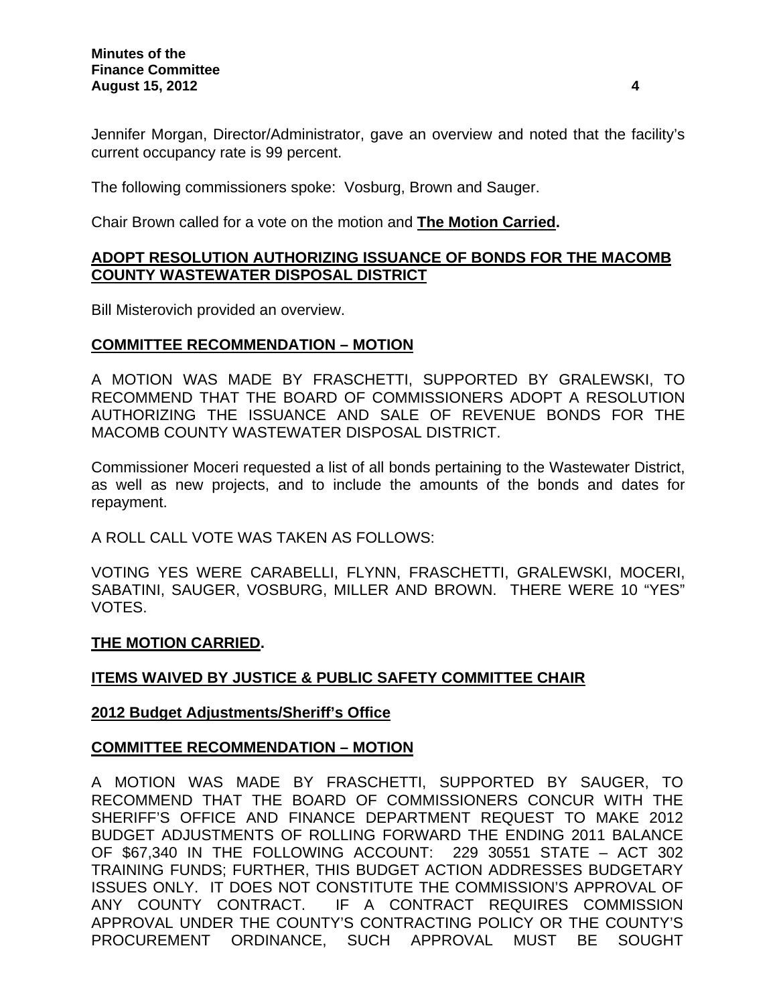Jennifer Morgan, Director/Administrator, gave an overview and noted that the facility's current occupancy rate is 99 percent.

The following commissioners spoke: Vosburg, Brown and Sauger.

Chair Brown called for a vote on the motion and **The Motion Carried.**

## **ADOPT RESOLUTION AUTHORIZING ISSUANCE OF BONDS FOR THE MACOMB COUNTY WASTEWATER DISPOSAL DISTRICT**

Bill Misterovich provided an overview.

## **COMMITTEE RECOMMENDATION – MOTION**

A MOTION WAS MADE BY FRASCHETTI, SUPPORTED BY GRALEWSKI, TO RECOMMEND THAT THE BOARD OF COMMISSIONERS ADOPT A RESOLUTION AUTHORIZING THE ISSUANCE AND SALE OF REVENUE BONDS FOR THE MACOMB COUNTY WASTEWATER DISPOSAL DISTRICT.

Commissioner Moceri requested a list of all bonds pertaining to the Wastewater District, as well as new projects, and to include the amounts of the bonds and dates for repayment.

A ROLL CALL VOTE WAS TAKEN AS FOLLOWS:

VOTING YES WERE CARABELLI, FLYNN, FRASCHETTI, GRALEWSKI, MOCERI, SABATINI, SAUGER, VOSBURG, MILLER AND BROWN. THERE WERE 10 "YES" VOTES.

#### **THE MOTION CARRIED.**

## **ITEMS WAIVED BY JUSTICE & PUBLIC SAFETY COMMITTEE CHAIR**

#### **2012 Budget Adjustments/Sheriff's Office**

#### **COMMITTEE RECOMMENDATION – MOTION**

A MOTION WAS MADE BY FRASCHETTI, SUPPORTED BY SAUGER, TO RECOMMEND THAT THE BOARD OF COMMISSIONERS CONCUR WITH THE SHERIFF'S OFFICE AND FINANCE DEPARTMENT REQUEST TO MAKE 2012 BUDGET ADJUSTMENTS OF ROLLING FORWARD THE ENDING 2011 BALANCE OF \$67,340 IN THE FOLLOWING ACCOUNT: 229 30551 STATE – ACT 302 TRAINING FUNDS; FURTHER, THIS BUDGET ACTION ADDRESSES BUDGETARY ISSUES ONLY. IT DOES NOT CONSTITUTE THE COMMISSION'S APPROVAL OF ANY COUNTY CONTRACT. IF A CONTRACT REQUIRES COMMISSION APPROVAL UNDER THE COUNTY'S CONTRACTING POLICY OR THE COUNTY'S PROCUREMENT ORDINANCE, SUCH APPROVAL MUST BE SOUGHT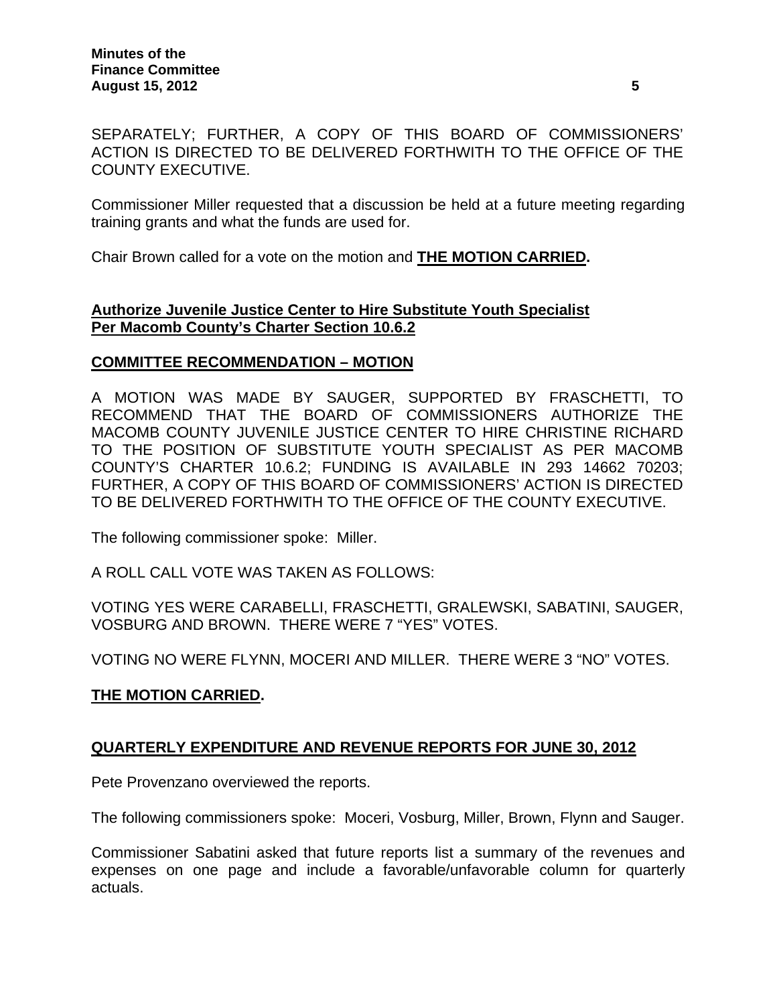SEPARATELY; FURTHER, A COPY OF THIS BOARD OF COMMISSIONERS' ACTION IS DIRECTED TO BE DELIVERED FORTHWITH TO THE OFFICE OF THE COUNTY EXECUTIVE.

Commissioner Miller requested that a discussion be held at a future meeting regarding training grants and what the funds are used for.

Chair Brown called for a vote on the motion and **THE MOTION CARRIED.** 

## **Authorize Juvenile Justice Center to Hire Substitute Youth Specialist Per Macomb County's Charter Section 10.6.2**

#### **COMMITTEE RECOMMENDATION – MOTION**

A MOTION WAS MADE BY SAUGER, SUPPORTED BY FRASCHETTI, TO RECOMMEND THAT THE BOARD OF COMMISSIONERS AUTHORIZE THE MACOMB COUNTY JUVENILE JUSTICE CENTER TO HIRE CHRISTINE RICHARD TO THE POSITION OF SUBSTITUTE YOUTH SPECIALIST AS PER MACOMB COUNTY'S CHARTER 10.6.2; FUNDING IS AVAILABLE IN 293 14662 70203; FURTHER, A COPY OF THIS BOARD OF COMMISSIONERS' ACTION IS DIRECTED TO BE DELIVERED FORTHWITH TO THE OFFICE OF THE COUNTY EXECUTIVE.

The following commissioner spoke: Miller.

A ROLL CALL VOTE WAS TAKEN AS FOLLOWS:

VOTING YES WERE CARABELLI, FRASCHETTI, GRALEWSKI, SABATINI, SAUGER, VOSBURG AND BROWN. THERE WERE 7 "YES" VOTES.

VOTING NO WERE FLYNN, MOCERI AND MILLER. THERE WERE 3 "NO" VOTES.

#### **THE MOTION CARRIED.**

## **QUARTERLY EXPENDITURE AND REVENUE REPORTS FOR JUNE 30, 2012**

Pete Provenzano overviewed the reports.

The following commissioners spoke: Moceri, Vosburg, Miller, Brown, Flynn and Sauger.

Commissioner Sabatini asked that future reports list a summary of the revenues and expenses on one page and include a favorable/unfavorable column for quarterly actuals.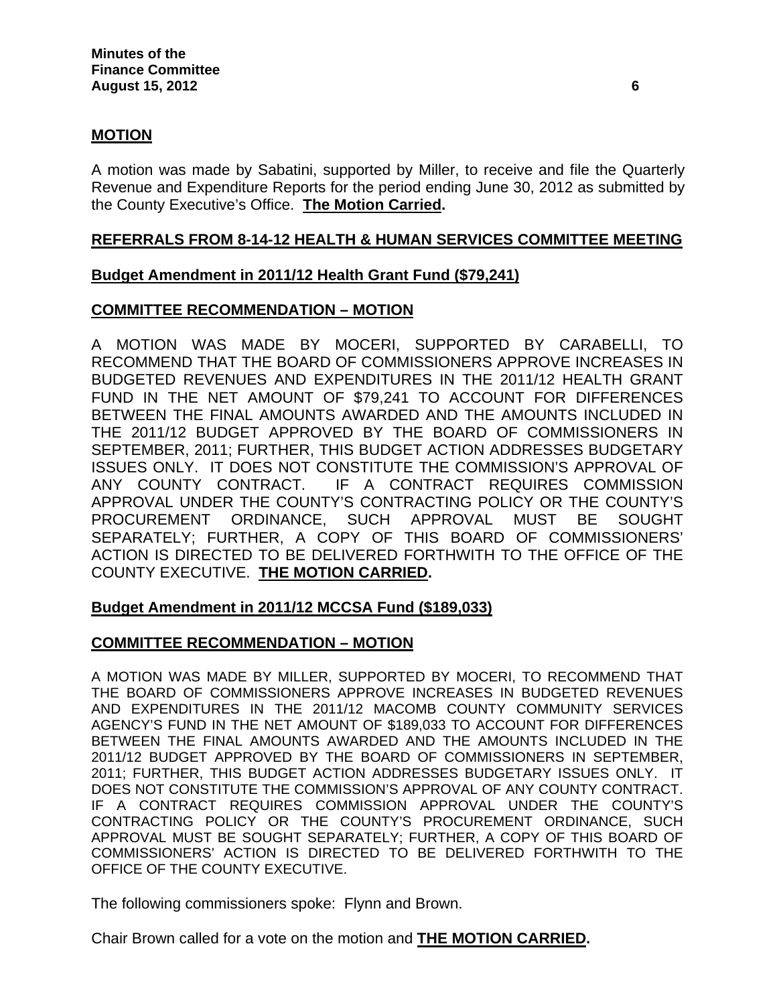### **MOTION**

A motion was made by Sabatini, supported by Miller, to receive and file the Quarterly Revenue and Expenditure Reports for the period ending June 30, 2012 as submitted by the County Executive's Office. **The Motion Carried.** 

#### **REFERRALS FROM 8-14-12 HEALTH & HUMAN SERVICES COMMITTEE MEETING**

#### **Budget Amendment in 2011/12 Health Grant Fund (\$79,241)**

#### **COMMITTEE RECOMMENDATION – MOTION**

A MOTION WAS MADE BY MOCERI, SUPPORTED BY CARABELLI, TO RECOMMEND THAT THE BOARD OF COMMISSIONERS APPROVE INCREASES IN BUDGETED REVENUES AND EXPENDITURES IN THE 2011/12 HEALTH GRANT FUND IN THE NET AMOUNT OF \$79,241 TO ACCOUNT FOR DIFFERENCES BETWEEN THE FINAL AMOUNTS AWARDED AND THE AMOUNTS INCLUDED IN THE 2011/12 BUDGET APPROVED BY THE BOARD OF COMMISSIONERS IN SEPTEMBER, 2011; FURTHER, THIS BUDGET ACTION ADDRESSES BUDGETARY ISSUES ONLY. IT DOES NOT CONSTITUTE THE COMMISSION'S APPROVAL OF ANY COUNTY CONTRACT. IF A CONTRACT REQUIRES COMMISSION APPROVAL UNDER THE COUNTY'S CONTRACTING POLICY OR THE COUNTY'S PROCUREMENT ORDINANCE, SUCH APPROVAL MUST BE SOUGHT SEPARATELY; FURTHER, A COPY OF THIS BOARD OF COMMISSIONERS' ACTION IS DIRECTED TO BE DELIVERED FORTHWITH TO THE OFFICE OF THE COUNTY EXECUTIVE. **THE MOTION CARRIED.** 

#### **Budget Amendment in 2011/12 MCCSA Fund (\$189,033)**

#### **COMMITTEE RECOMMENDATION – MOTION**

A MOTION WAS MADE BY MILLER, SUPPORTED BY MOCERI, TO RECOMMEND THAT THE BOARD OF COMMISSIONERS APPROVE INCREASES IN BUDGETED REVENUES AND EXPENDITURES IN THE 2011/12 MACOMB COUNTY COMMUNITY SERVICES AGENCY'S FUND IN THE NET AMOUNT OF \$189,033 TO ACCOUNT FOR DIFFERENCES BETWEEN THE FINAL AMOUNTS AWARDED AND THE AMOUNTS INCLUDED IN THE 2011/12 BUDGET APPROVED BY THE BOARD OF COMMISSIONERS IN SEPTEMBER, 2011; FURTHER, THIS BUDGET ACTION ADDRESSES BUDGETARY ISSUES ONLY. IT DOES NOT CONSTITUTE THE COMMISSION'S APPROVAL OF ANY COUNTY CONTRACT. IF A CONTRACT REQUIRES COMMISSION APPROVAL UNDER THE COUNTY'S CONTRACTING POLICY OR THE COUNTY'S PROCUREMENT ORDINANCE, SUCH APPROVAL MUST BE SOUGHT SEPARATELY; FURTHER, A COPY OF THIS BOARD OF COMMISSIONERS' ACTION IS DIRECTED TO BE DELIVERED FORTHWITH TO THE OFFICE OF THE COUNTY EXECUTIVE.

The following commissioners spoke: Flynn and Brown.

Chair Brown called for a vote on the motion and **THE MOTION CARRIED.**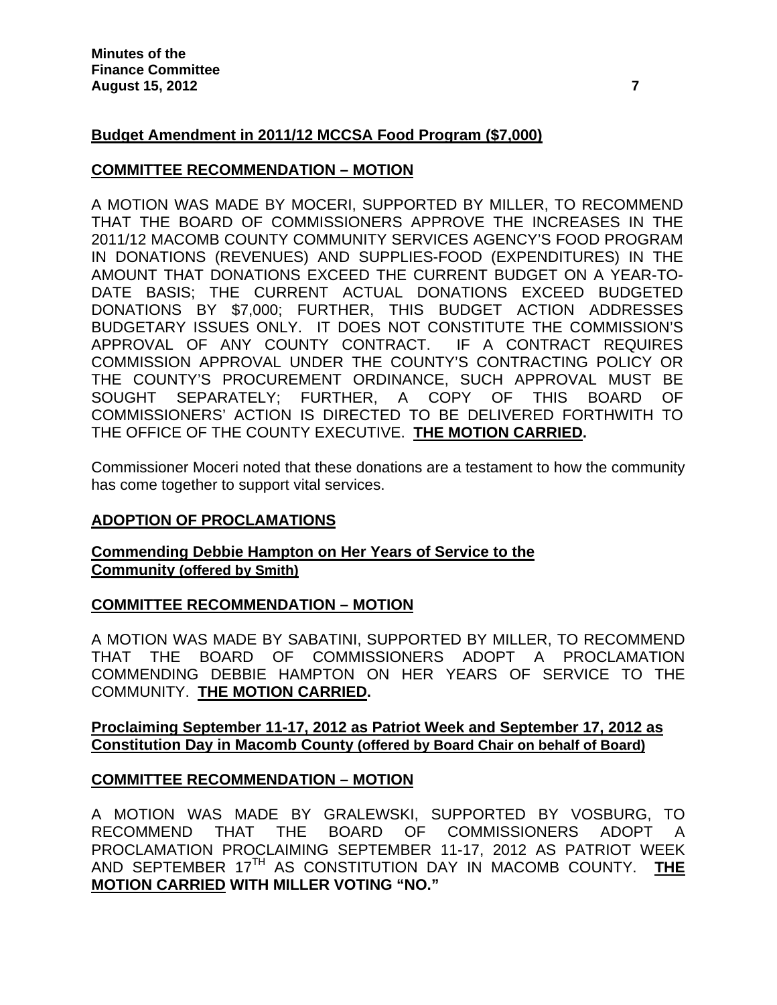# **Budget Amendment in 2011/12 MCCSA Food Program (\$7,000)**

## **COMMITTEE RECOMMENDATION – MOTION**

A MOTION WAS MADE BY MOCERI, SUPPORTED BY MILLER, TO RECOMMEND THAT THE BOARD OF COMMISSIONERS APPROVE THE INCREASES IN THE 2011/12 MACOMB COUNTY COMMUNITY SERVICES AGENCY'S FOOD PROGRAM IN DONATIONS (REVENUES) AND SUPPLIES-FOOD (EXPENDITURES) IN THE AMOUNT THAT DONATIONS EXCEED THE CURRENT BUDGET ON A YEAR-TO-DATE BASIS; THE CURRENT ACTUAL DONATIONS EXCEED BUDGETED DONATIONS BY \$7,000; FURTHER, THIS BUDGET ACTION ADDRESSES BUDGETARY ISSUES ONLY. IT DOES NOT CONSTITUTE THE COMMISSION'S APPROVAL OF ANY COUNTY CONTRACT. IF A CONTRACT REQUIRES COMMISSION APPROVAL UNDER THE COUNTY'S CONTRACTING POLICY OR THE COUNTY'S PROCUREMENT ORDINANCE, SUCH APPROVAL MUST BE SOUGHT SEPARATELY; FURTHER, A COPY OF THIS BOARD OF COMMISSIONERS' ACTION IS DIRECTED TO BE DELIVERED FORTHWITH TO THE OFFICE OF THE COUNTY EXECUTIVE. **THE MOTION CARRIED.** 

Commissioner Moceri noted that these donations are a testament to how the community has come together to support vital services.

## **ADOPTION OF PROCLAMATIONS**

#### **Commending Debbie Hampton on Her Years of Service to the Community (offered by Smith)**

## **COMMITTEE RECOMMENDATION – MOTION**

A MOTION WAS MADE BY SABATINI, SUPPORTED BY MILLER, TO RECOMMEND THAT THE BOARD OF COMMISSIONERS ADOPT A PROCLAMATION COMMENDING DEBBIE HAMPTON ON HER YEARS OF SERVICE TO THE COMMUNITY. **THE MOTION CARRIED.** 

#### **Proclaiming September 11-17, 2012 as Patriot Week and September 17, 2012 as Constitution Day in Macomb County (offered by Board Chair on behalf of Board)**

## **COMMITTEE RECOMMENDATION – MOTION**

A MOTION WAS MADE BY GRALEWSKI, SUPPORTED BY VOSBURG, TO RECOMMEND THAT THE BOARD OF COMMISSIONERS ADOPT A PROCLAMATION PROCLAIMING SEPTEMBER 11-17, 2012 AS PATRIOT WEEK AND SEPTEMBER 17TH AS CONSTITUTION DAY IN MACOMB COUNTY. **THE MOTION CARRIED WITH MILLER VOTING "NO."**